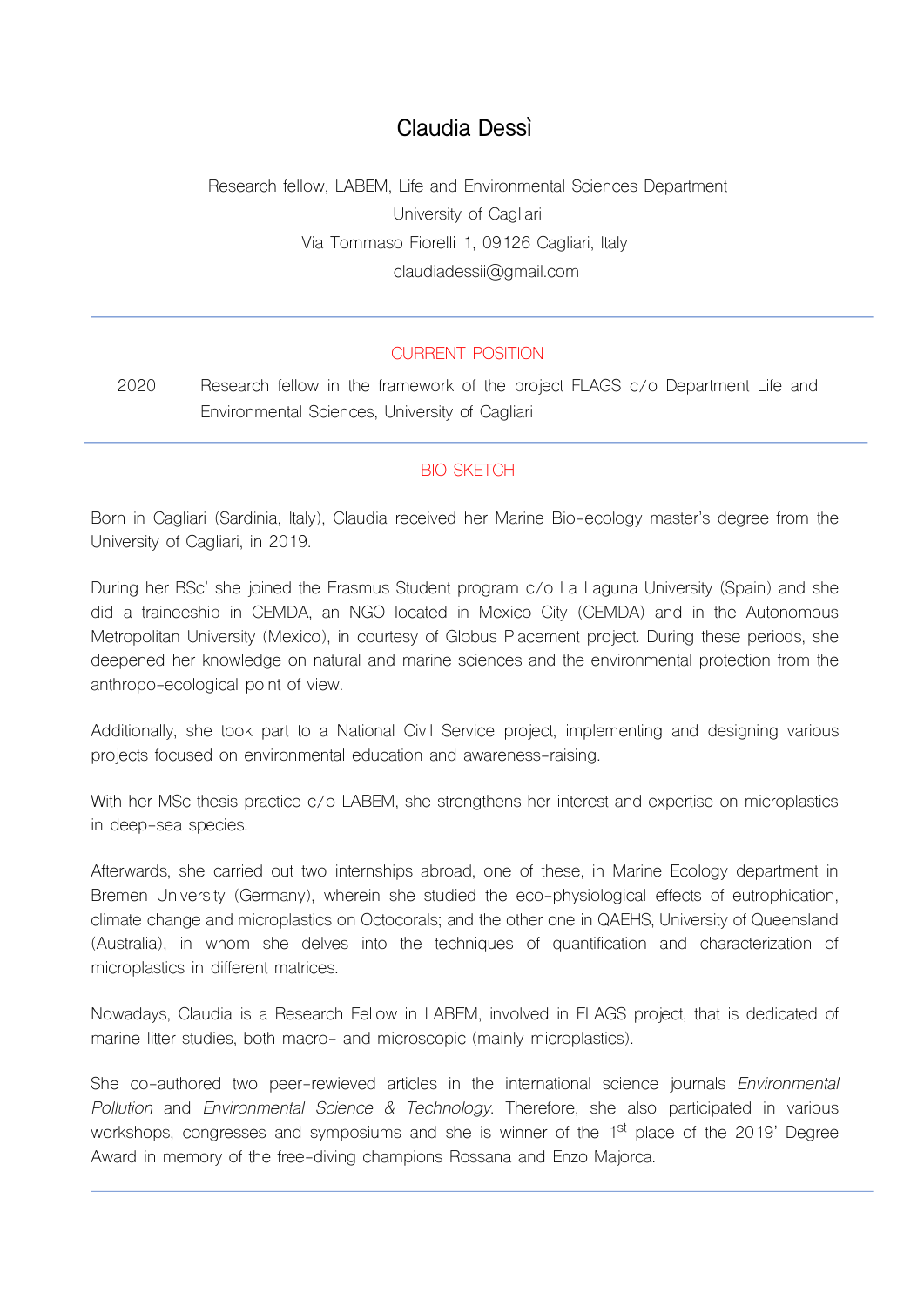# **Claudia Dessì**

Research fellow, LABEM, Life and Environmental Sciences Department University of Cagliari Via Tommaso Fiorelli 1, 09126 Cagliari, Italy claudiadessii@gmail.com

### CURRENT POSITION

2020 Research fellow in the framework of the project FLAGS c/o Department Life and Environmental Sciences, University of Cagliari

### BIO SKETCH

Born in Cagliari (Sardinia, Italy), Claudia received her Marine Bio-ecology master's degree from the University of Cagliari, in 2019.

During her BSc' she joined the Erasmus Student program c/o La Laguna University (Spain) and she did a traineeship in CEMDA, an NGO located in Mexico City (CEMDA) and in the Autonomous Metropolitan University (Mexico), in courtesy of Globus Placement project. During these periods, she deepened her knowledge on natural and marine sciences and the environmental protection from the anthropo-ecological point of view.

Additionally, she took part to a National Civil Service project, implementing and designing various projects focused on environmental education and awareness-raising.

With her MSc thesis practice c/o LABEM, she strengthens her interest and expertise on microplastics in deep-sea species.

Afterwards, she carried out two internships abroad, one of these, in Marine Ecology department in Bremen University (Germany), wherein she studied the eco-physiological effects of eutrophication, climate change and microplastics on Octocorals; and the other one in QAEHS, University of Queensland (Australia), in whom she delves into the techniques of quantification and characterization of microplastics in different matrices.

Nowadays, Claudia is a Research Fellow in LABEM, involved in FLAGS project, that is dedicated of marine litter studies, both macro- and microscopic (mainly microplastics).

She co-authored two peer-rewieved articles in the international science journals *Environmental Pollution* and *Environmental Science & Technology*. Therefore, she also participated in various workshops, congresses and symposiums and she is winner of the 1<sup>st</sup> place of the 2019' Degree Award in memory of the free-diving champions Rossana and Enzo Majorca.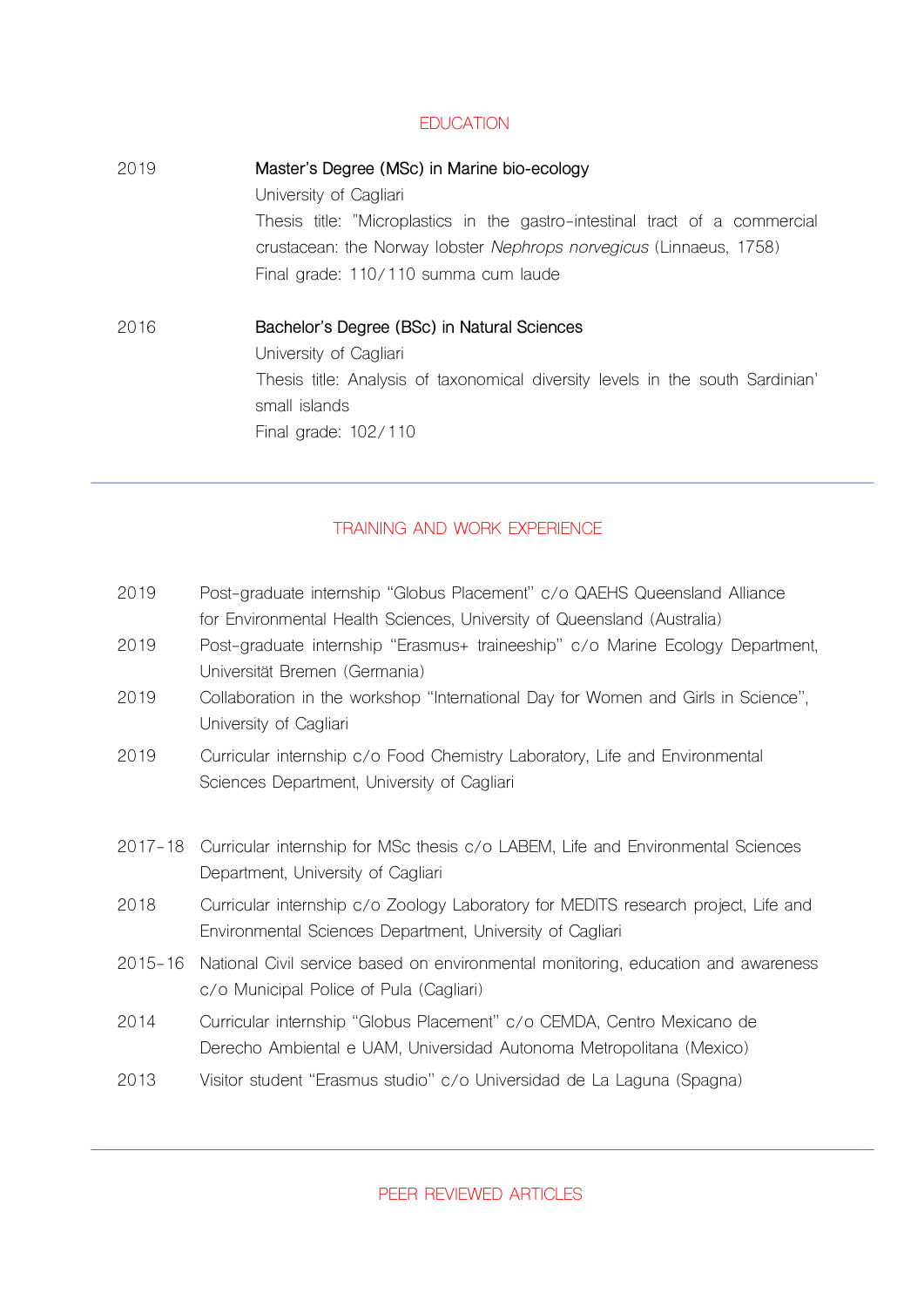## **EDUCATION**

2019 **Master's Degree (MSc) in Marine bio-ecology** University of Cagliari Thesis title: "Microplastics in the gastro-intestinal tract of a commercial crustacean: the Norway lobster *Nephrops norvegicus* (Linnaeus, 1758) Final grade: 110/110 summa cum laude 2016 **Bachelor's Degree (BSc) in Natural Sciences** University of Cagliari Thesis title: Analysis of taxonomical diversity levels in the south Sardinian' small islands Final grade: 102/110

# TRAINING AND WORK EXPERIENCE

- 2019 Post-graduate internship "Globus Placement" c/o QAEHS Queensland Alliance for Environmental Health Sciences, University of Queensland (Australia)
- 2019 Post-graduate internship "Erasmus+ traineeship" c/o Marine Ecology Department, Universität Bremen (Germania)
- 2019 Collaboration in the workshop "International Day for Women and Girls in Science", University of Cagliari
- 2019 Curricular internship c/o Food Chemistry Laboratory, Life and Environmental Sciences Department, University of Cagliari
- 2017-18 Curricular internship for MSc thesis c/o LABEM, Life and Environmental Sciences Department, University of Cagliari
- 2018 Curricular internship c/o Zoology Laboratory for MEDITS research project, Life and Environmental Sciences Department, University of Cagliari
- 2015-16 National Civil service based on environmental monitoring, education and awareness c/o Municipal Police of Pula (Cagliari)
- 2014 Curricular internship "Globus Placement" c/o CEMDA, Centro Mexicano de Derecho Ambiental e UAM, Universidad Autonoma Metropolitana (Mexico)
- 2013 Visitor student "Erasmus studio" c/o Universidad de La Laguna (Spagna)